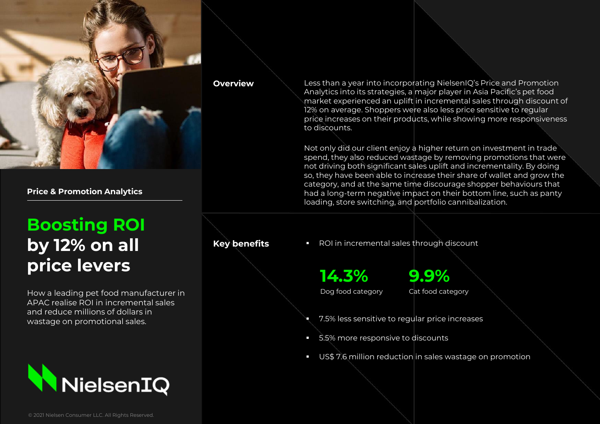

**Price & Promotion Analytics**

# **Boosting ROI by 12% on all price levers**

How a leading pet food manufacturer in APAC realise ROI in incremental sales and reduce millions of dollars in wastage on promotional sales.



**Overview** Less than a year into incorporating NielsenIQ's Price and Promotion Analytics into its strategies, a major player in Asia Pacific's pet food market experienced an uplift in incremental sales through discount of 12% on average. Shoppers were also less price sensitive to regular price increases on their products, while showing more responsiveness to discounts.

> Not only did our client enjoy a higher return on investment in trade spend, they also reduced wastage by removing promotions that were not driving both significant sales uplift and incrementality. By doing so, they have been able to increase their share of wallet and grow the category, and at the same time discourage shopper behaviours that had a long-term negative impact on their bottom line, such as panty loading, store switching, and portfolio cannibalization.

**Key benefits •** ROI in incremental sales through discount

**14.3%** Dog food category **9.9%** Cat food category

- 7.5% less sensitive to regular price increases
- 5.5% more responsive to discounts
- US\$ 7.6 million reduction in sales wastage on promotion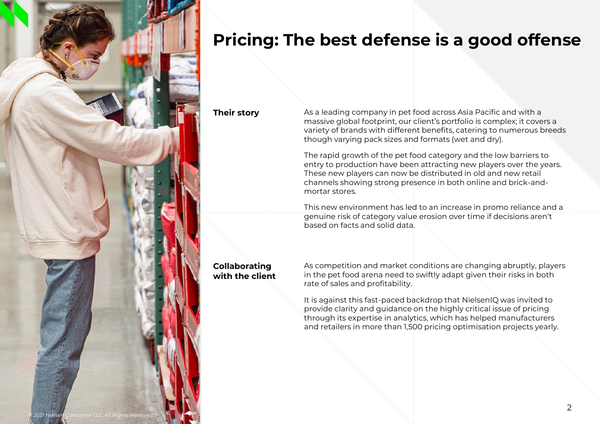

### **Pricing: The best defense is a good offense**

**Their story**

As a leading company in pet food across Asia Pacific and with a massive global footprint, our client's portfolio is complex; it covers a variety of brands with different benefits, catering to numerous breeds though varying pack sizes and formats (wet and dry).

The rapid growth of the pet food category and the low barriers to entry to production have been attracting new players over the years. These new players can now be distributed in old and new retail channels showing strong presence in both online and brick-andmortar stores.

This new environment has led to an increase in promo reliance and a genuine risk of category value erosion over time if decisions aren't based on facts and solid data.

### **Collaborating with the client**

As competition and market conditions are changing abruptly, players in the pet food arena need to swiftly adapt given their risks in both rate of sales and profitability.

It is against this fast-paced backdrop that NielsenIQ was invited to provide clarity and guidance on the highly critical issue of pricing through its expertise in analytics, which has helped manufacturers and retailers in more than 1,500 pricing optimisation projects yearly.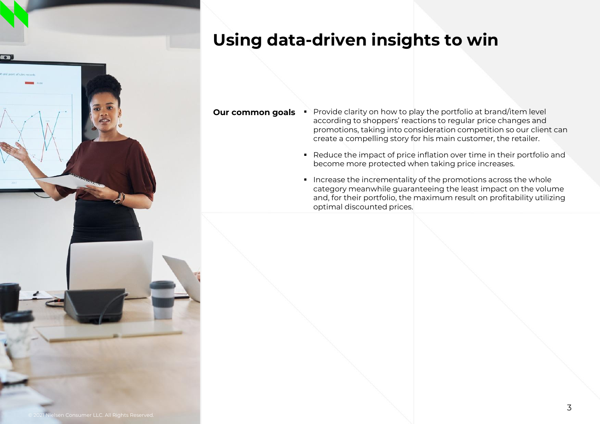### **Using data-driven insights to win**



- **Our common goals •** Provide clarity on how to play the portfolio at brand/item level according to shoppers' reactions to regular price changes and promotions, taking into consideration competition so our client can create a compelling story for his main customer, the retailer.
	- Reduce the impact of price inflation over time in their portfolio and become more protected when taking price increases.
	- Increase the incrementality of the promotions across the whole category meanwhile guaranteeing the least impact on the volume and, for their portfolio, the maximum result on profitability utilizing optimal discounted prices.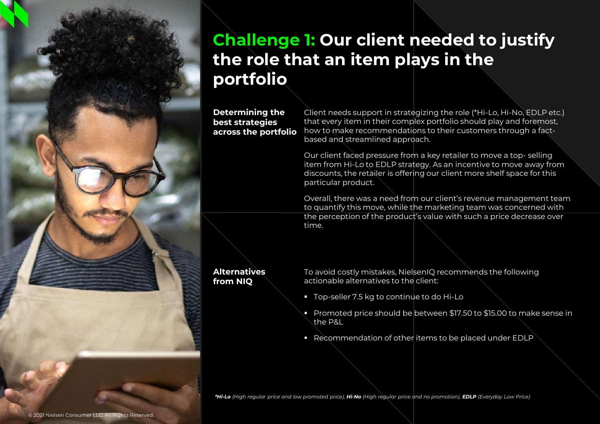# **Challenge 1: Our client needed to justify the role that an item plays in the portfolio**

### **Determining the best strategies across the portfolio**

Client needs support in strategizing the role (\*Hi-Lo, Hi-No, EDLP etc.) that every item in their complex portfolio should play and foremost, how to make recommendations to their customers through a factbased and streamlined approach.

Our client faced pressure from a key retailer to move a top- selling item from Hi-Lo to EDLP strategy. As an incentive to move away from discounts, the retailer is offering our client more shelf space for this particular product.

Overall, there was a need from our client's revenue management team to quantify this move, while the marketing team was concerned with the perception of the product's value with such a price decrease over time.

#### **Alternatives from NIQ**

To avoid costly mistakes, NielsenIQ recommends the following actionable alternatives to the client:

- Top-seller 7.5 kg to continue to do Hi-Lo
- Promoted price should be between \$17.50 to \$15.00 to make sense in the P&L
- Recommendation of other items to be placed under EDLP

*\*Hi-Lo (High regular price and low promoted price), Hi-No (High regular price and no promotion), EDLP (Everyday Low Price)*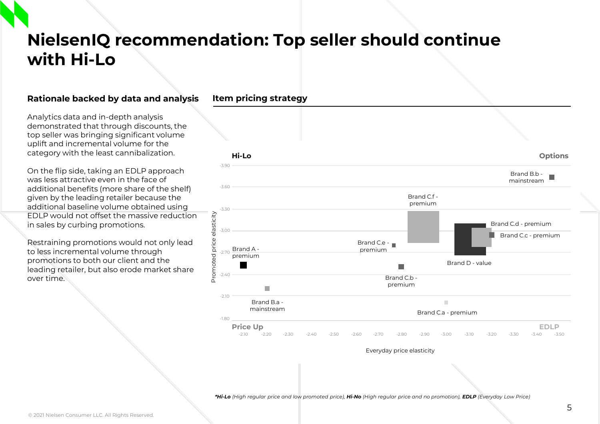# **NielsenIQ recommendation: Top seller should continue with Hi-Lo**

### **Rationale backed by data and analysis**

Analytics data and in-depth analysis demonstrated that through discounts, the top seller was bringing significant volume uplift and incremental volume for the category with the least cannibalization.

On the flip side, taking an EDLP approach was less attractive even in the face of additional benefits (more share of the shelf) given by the leading retailer because the additional baseline volume obtained using EDLP would not offset the massive reduction in sales by curbing promotions.

Restraining promotions would not only lead to less incremental volume through promotions to both our client and the leading retailer, but also erode market share over time.



Everyday price elasticity

*\*Hi-Lo (High regular price and low promoted price), Hi-No (High regular price and no promotion), EDLP (Everyday Low Price)*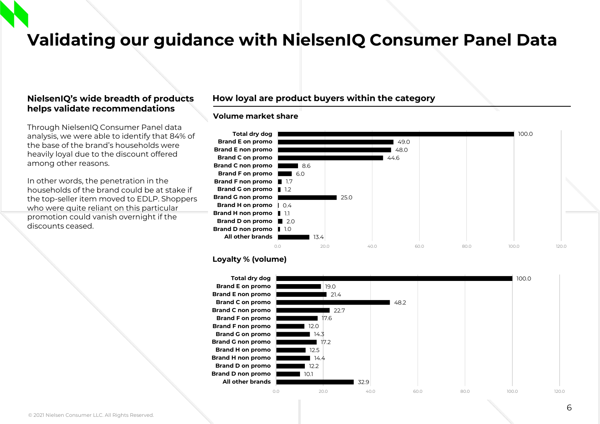### **Validating our guidance with NielsenIQ Consumer Panel Data**

#### **NielsenIQ's wide breadth of products helps validate recommendations**

Through NielsenIQ Consumer Panel data analysis, we were able to identify that 84% of the base of the brand's households were heavily loyal due to the discount offered among other reasons.

In other words, the penetration in the households of the brand could be at stake if the top-seller item moved to EDLP. Shoppers who were quite reliant on this particular promotion could vanish overnight if the discounts ceased.

#### **How loyal are product buyers within the category**

#### **Volume market share**



#### **Loyalty % (volume)**

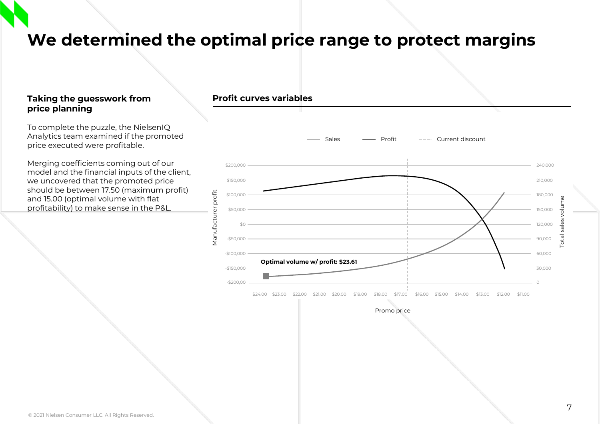**We determined the optimal price range to protect margins** 

#### **Taking the guesswork from price planning**

To complete the puzzle, the NielsenIQ Analytics team examined if the promoted price executed were profitable.

Merging coefficients coming out of our model and the financial inputs of the client, we uncovered that the promoted price should be between 17.50 (maximum profit) and 15.00 (optimal volume with flat profitability) to make sense in the P&L.



Promo price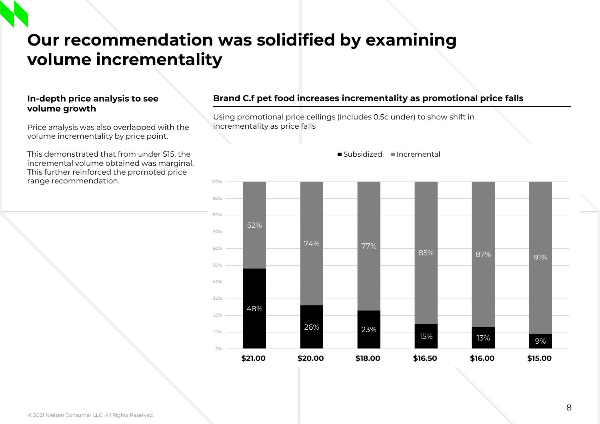# **Our recommendation was solidified by examining volume incrementality**

### **In-depth price analysis to see volume growth**

Price analysis was also overlapped with the volume incrementality by price point.

This demonstrated that from under \$15, the incremental volume obtained was marginal. This further reinforced the promoted price range recommendation.

### **Brand C.f pet food increases incrementality as promotional price falls**

Using promotional price ceilings (includes 0.5c under) to show shift in incrementality as price falls



■Subsidized ■Incremental

#### © 2021 Nielsen Consumer LLC. All Rights Reserved.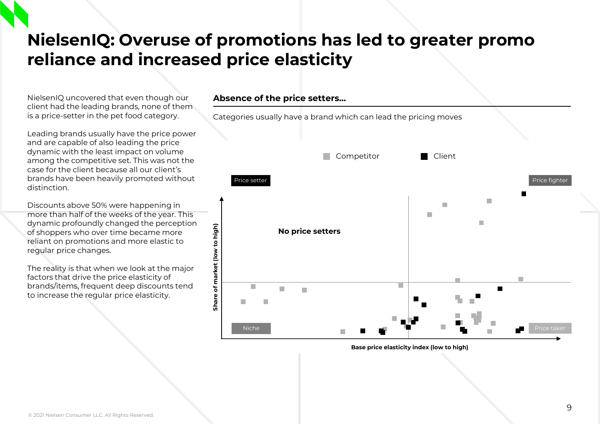### **NielsenIQ: Overuse of promotions has led to greater promo reliance and increased price elasticity**

NielsenIQ uncovered that even though our client had the leading brands, none of them is a price-setter in the pet food category.

Leading brands usually have the price power and are capable of also leading the price dynamic with the least impact on volume among the competitive set. This was not the case for the client because all our client's brands have been heavily promoted without distinction.

Discounts above 50% were happening in more than half of the weeks of the year. This dynamic profoundly changed the perception of shoppers who over time became more reliant on promotions and more elastic to regular price changes.

The reality is that when we look at the major factors that drive the price elasticity of brands/items, frequent deep discounts tend to increase the regular price elasticity.

### **Absence of the price setters…**

Categories usually have a brand which can lead the pricing moves Competitor **Client** Price setter Price fighter Price fighter  $\sim$  Price fighter  $\sim$  Price fighter  $\sim$ п  $\mathcal{L}_{\mathcal{A}}$  $\overline{\phantom{a}}$ п Share of market (low to high) **Share of market (low to high) No price setters**п п П Niche

**Base price elasticity index (low to high)**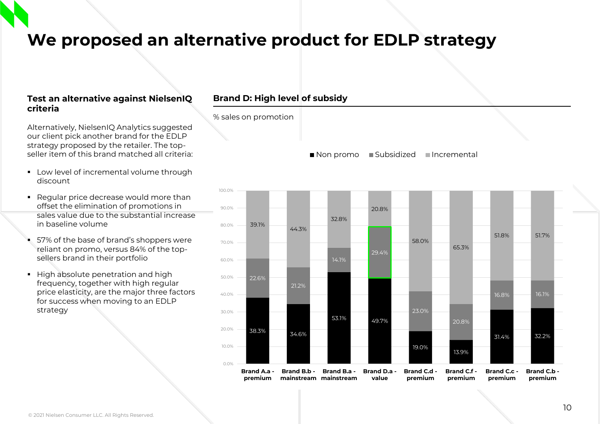### **We proposed an alternative product for EDLP strategy**

% sales on promotion

### **Test an alternative against NielsenIQ criteria**

Alternatively, NielsenIQ Analytics suggested our client pick another brand for the EDLP strategy proposed by the retailer. The topseller item of this brand matched all criteria:

- Low level of incremental volume through discount
- Regular price decrease would more than offset the elimination of promotions in sales value due to the substantial increase in baseline volume
- 57% of the base of brand's shoppers were reliant on promo, versus 84% of the topsellers brand in their portfolio
- High absolute penetration and high frequency, together with high regular price elasticity, are the major three factors for success when moving to an EDLP strategy

### **Brand D: High level of subsidy**

Non promo Subsidized Incremental

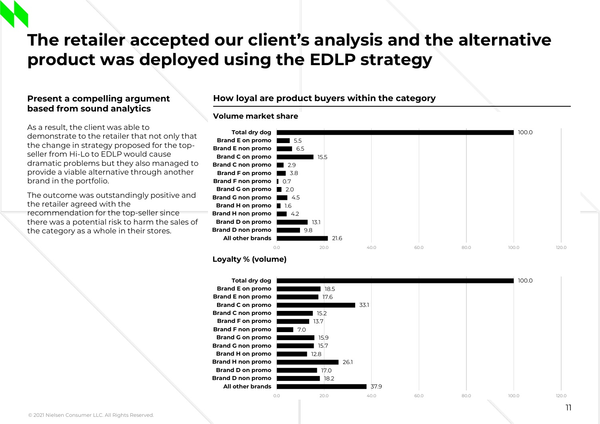# **The retailer accepted our client's analysis and the alternative product was deployed using the EDLP strategy**

### **Present a compelling argument based from sound analytics**

As a result, the client was able to demonstrate to the retailer that not only that the change in strategy proposed for the topseller from Hi-Lo to EDLP would cause dramatic problems but they also managed to provide a viable alternative through another brand in the portfolio.

The outcome was outstandingly positive and the retailer agreed with the recommendation for the top-seller since there was a potential risk to harm the sales of the category as a whole in their stores.

### **How loyal are product buyers within the category**

#### **Volume market share**



#### **Loyalty % (volume)**

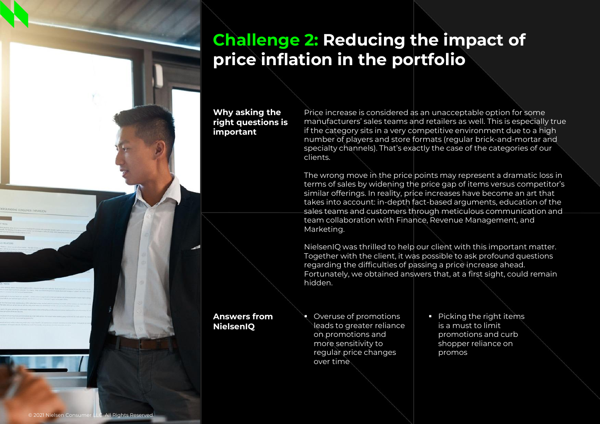# **Challenge 2: Reducing the impact of price inflation in the portfolio**

#### **Why asking the right questions is important**

Price increase is considered as an unacceptable option for some manufacturers' sales teams and retailers as well. This is especially true if the category sits in a very competitive environment due to a high number of players and store formats (regular brick-and-mortar and specialty channels). That's exactly the case of the categories of our clients.

The wrong move in the price points may represent a dramatic loss in terms of sales by widening the price gap of items versus competitor's similar offerings. In reality, price increases have become an art that takes into account: in-depth fact-based arguments, education of the sales teams and customers through meticulous communication and team collaboration with Finance, Revenue Management, and Marketing.

NielsenIQ was thrilled to help our client with this important matter. Together with the client, it was possible to ask profound questions regarding the difficulties of passing a price increase ahead. Fortunately, we obtained answers that, at a first sight, could remain hidden.

#### **Answers from NielsenIQ**

■ Overuse of promotions leads to greater reliance on promotions and more sensitivity to regular price changes over time

■ Picking the right items is a must to limit promotions and curb shopper reliance on promos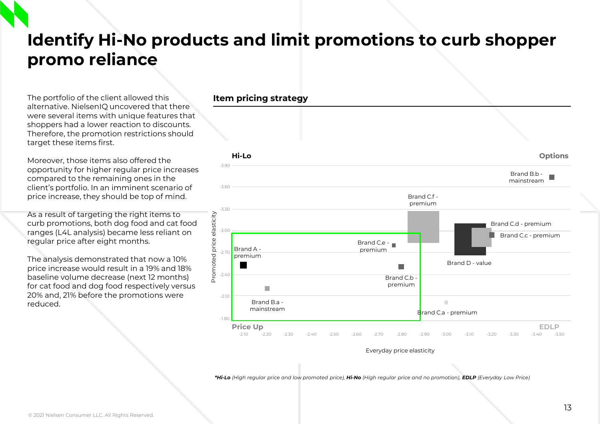# **Identify Hi-No products and limit promotions to curb shopper promo reliance**

The portfolio of the client allowed this alternative. NielsenIQ uncovered that there were several items with unique features that shoppers had a lower reaction to discounts. Therefore, the promotion restrictions should target these items first.

Moreover, those items also offered the opportunity for higher regular price increases compared to the remaining ones in the client's portfolio. In an imminent scenario of price increase, they should be top of mind.

As a result of targeting the right items to curb promotions, both dog food and cat food ranges (L4L analysis) became less reliant on regular price after eight months.

The analysis demonstrated that now a 10% price increase would result in a 19% and 18% baseline volume decrease (next 12 months) for cat food and dog food respectively versus 20% and, 21% before the promotions were reduced.



Everyday price elasticity

*\*Hi-Lo (High regular price and low promoted price), Hi-No (High regular price and no promotion), EDLP (Everyday Low Price)*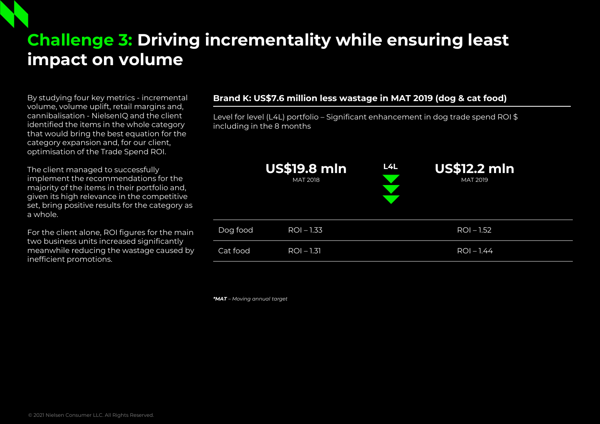# **Challenge 3: Driving incrementality while ensuring least impact on volume**

By studying four key metrics - incremental volume, volume uplift, retail margins and, cannibalisation - NielsenIQ and the client identified the items in the whole category that would bring the best equation for the category expansion and, for our client, optimisation of the Trade Spend ROI.

The client managed to successfully implement the recommendations for the majority of the items in their portfolio and, given its high relevance in the competitive set, bring positive results for the category as a whole.

For the client alone, ROI figures for the main two business units increased significantly meanwhile reducing the wastage caused by inefficient promotions.

### **Brand K: US\$7.6 million less wastage in MAT 2019 (dog & cat food)**

Level for level (L4L) portfolio – Significant enhancement in dog trade spend ROI \$ including in the 8 months

|          | <b>US\$19.8 mln</b><br><b>MAT 2018</b> | L4L | <b>US\$12.2 mln</b><br><b>MAT 2019</b> |
|----------|----------------------------------------|-----|----------------------------------------|
| Dog food | $ROI - 1.33$                           |     | $ROI - 1.52$                           |
| Cat food | $ROI - 1.31$                           |     | $ROI - 1.44$                           |

*\*MAT – Moving annual target*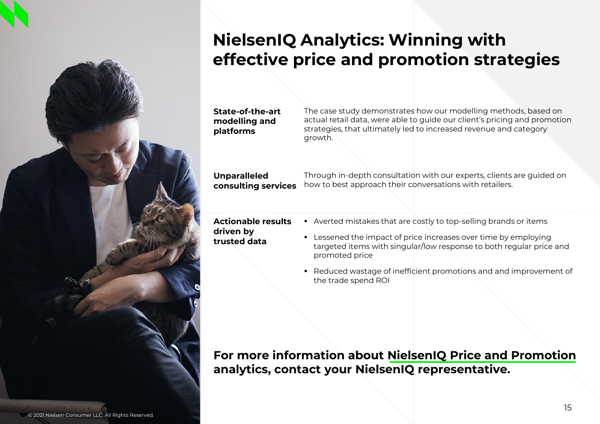# **NielsenIQ Analytics: Winning with effective price and promotion strategies**

**State-of-the-art modelling and platforms**

The case study demonstrates how our modelling methods, based on actual retail data, were able to guide our client's pricing and promotion strategies, that ultimately led to increased revenue and category growth.

**Unparalleled consulting services**

Through in-depth consultation with our experts, clients are guided on how to best approach their conversations with retailers.

**Actionable results driven by trusted data**

- Averted mistakes that are costly to top-selling brands or items
	- Lessened the impact of price increases over time by employing targeted items with singular/low response to both regular price and promoted price
	- Reduced wastage of inefficient promotions and and improvement of the trade spend ROI

**For more information about NielsenIQ Price and Promotion analytics, contact your NielsenIQ representative.**